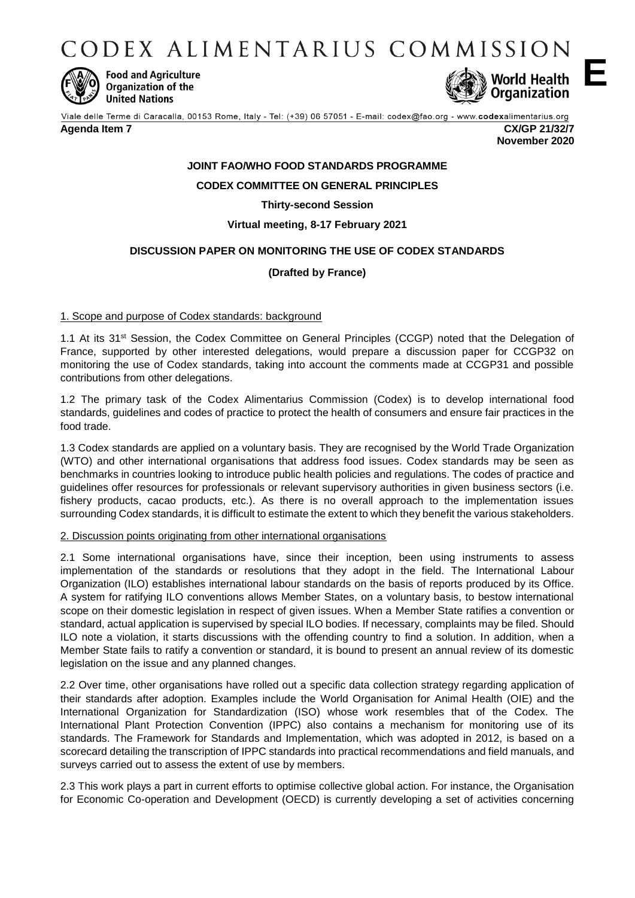CODEX ALIMENTARIUS COMMISSION



**Food and Agriculture Organization of the United Nations** 



Viale delle Terme di Caracalla, 00153 Rome, Italy - Tel: (+39) 06 57051 - E-mail: codex@fao.org - www.codexalimentarius.org

## **Agenda Item 7 CX/GP 21/32/7**

**November 2020**

# **JOINT FAO/WHO FOOD STANDARDS PROGRAMME**

# **CODEX COMMITTEE ON GENERAL PRINCIPLES**

**Thirty-second Session** 

# **Virtual meeting, 8-17 February 2021**

# **DISCUSSION PAPER ON MONITORING THE USE OF CODEX STANDARDS**

# **(Drafted by France)**

## 1. Scope and purpose of Codex standards: background

1.1 At its 31st Session, the Codex Committee on General Principles (CCGP) noted that the Delegation of France, supported by other interested delegations, would prepare a discussion paper for CCGP32 on monitoring the use of Codex standards, taking into account the comments made at CCGP31 and possible contributions from other delegations.

1.2 The primary task of the Codex Alimentarius Commission (Codex) is to develop international food standards, guidelines and codes of practice to protect the health of consumers and ensure fair practices in the food trade.

1.3 Codex standards are applied on a voluntary basis. They are recognised by the World Trade Organization (WTO) and other international organisations that address food issues. Codex standards may be seen as benchmarks in countries looking to introduce public health policies and regulations. The codes of practice and guidelines offer resources for professionals or relevant supervisory authorities in given business sectors (i.e. fishery products, cacao products, etc.). As there is no overall approach to the implementation issues surrounding Codex standards, it is difficult to estimate the extent to which they benefit the various stakeholders.

## 2. Discussion points originating from other international organisations

2.1 Some international organisations have, since their inception, been using instruments to assess implementation of the standards or resolutions that they adopt in the field. The International Labour Organization (ILO) establishes international labour standards on the basis of reports produced by its Office. A system for ratifying ILO conventions allows Member States, on a voluntary basis, to bestow international scope on their domestic legislation in respect of given issues. When a Member State ratifies a convention or standard, actual application is supervised by special ILO bodies. If necessary, complaints may be filed. Should ILO note a violation, it starts discussions with the offending country to find a solution. In addition, when a Member State fails to ratify a convention or standard, it is bound to present an annual review of its domestic legislation on the issue and any planned changes.

2.2 Over time, other organisations have rolled out a specific data collection strategy regarding application of their standards after adoption. Examples include the World Organisation for Animal Health (OIE) and the International Organization for Standardization (ISO) whose work resembles that of the Codex. The International Plant Protection Convention (IPPC) also contains a mechanism for monitoring use of its standards. The Framework for Standards and Implementation, which was adopted in 2012, is based on a scorecard detailing the transcription of IPPC standards into practical recommendations and field manuals, and surveys carried out to assess the extent of use by members.

2.3 This work plays a part in current efforts to optimise collective global action. For instance, the Organisation for Economic Co-operation and Development (OECD) is currently developing a set of activities concerning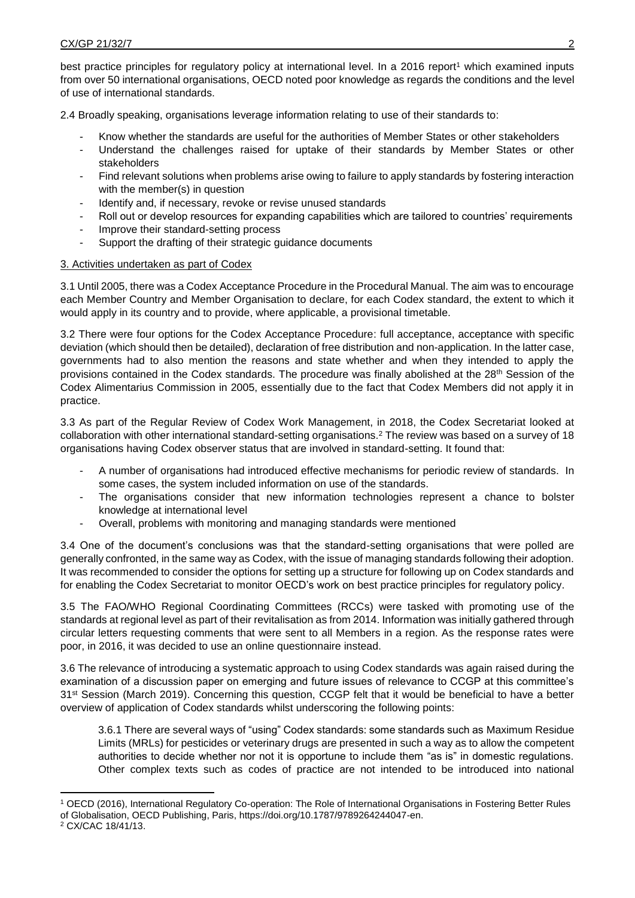best practice principles for regulatory policy at international level. In a 2016 report<sup>1</sup> which examined inputs from over 50 international organisations, OECD noted poor knowledge as regards the conditions and the level of use of international standards.

2.4 Broadly speaking, organisations leverage information relating to use of their standards to:

- Know whether the standards are useful for the authorities of Member States or other stakeholders
- Understand the challenges raised for uptake of their standards by Member States or other stakeholders
- Find relevant solutions when problems arise owing to failure to apply standards by fostering interaction with the member(s) in question
- Identify and, if necessary, revoke or revise unused standards
- Roll out or develop resources for expanding capabilities which are tailored to countries' requirements
- Improve their standard-setting process
- Support the drafting of their strategic guidance documents

#### 3. Activities undertaken as part of Codex

3.1 Until 2005, there was a Codex Acceptance Procedure in the Procedural Manual. The aim was to encourage each Member Country and Member Organisation to declare, for each Codex standard, the extent to which it would apply in its country and to provide, where applicable, a provisional timetable.

3.2 There were four options for the Codex Acceptance Procedure: full acceptance, acceptance with specific deviation (which should then be detailed), declaration of free distribution and non-application. In the latter case, governments had to also mention the reasons and state whether and when they intended to apply the provisions contained in the Codex standards. The procedure was finally abolished at the 28th Session of the Codex Alimentarius Commission in 2005, essentially due to the fact that Codex Members did not apply it in practice.

3.3 As part of the Regular Review of Codex Work Management, in 2018, the Codex Secretariat looked at collaboration with other international standard-setting organisations.<sup>2</sup> The review was based on a survey of 18 organisations having Codex observer status that are involved in standard-setting. It found that:

- A number of organisations had introduced effective mechanisms for periodic review of standards. In some cases, the system included information on use of the standards.
- The organisations consider that new information technologies represent a chance to bolster knowledge at international level
- Overall, problems with monitoring and managing standards were mentioned

3.4 One of the document's conclusions was that the standard-setting organisations that were polled are generally confronted, in the same way as Codex, with the issue of managing standards following their adoption. It was recommended to consider the options for setting up a structure for following up on Codex standards and for enabling the Codex Secretariat to monitor OECD's work on best practice principles for regulatory policy.

3.5 The FAO/WHO Regional Coordinating Committees (RCCs) were tasked with promoting use of the standards at regional level as part of their revitalisation as from 2014. Information was initially gathered through circular letters requesting comments that were sent to all Members in a region. As the response rates were poor, in 2016, it was decided to use an online questionnaire instead.

3.6 The relevance of introducing a systematic approach to using Codex standards was again raised during the examination of a discussion paper on emerging and future issues of relevance to CCGP at this committee's 31<sup>st</sup> Session (March 2019). Concerning this question, CCGP felt that it would be beneficial to have a better overview of application of Codex standards whilst underscoring the following points:

3.6.1 There are several ways of "using" Codex standards: some standards such as Maximum Residue Limits (MRLs) for pesticides or veterinary drugs are presented in such a way as to allow the competent authorities to decide whether nor not it is opportune to include them "as is" in domestic regulations. Other complex texts such as codes of practice are not intended to be introduced into national

<sup>1</sup> <sup>1</sup> OECD (2016), International Regulatory Co-operation: The Role of International Organisations in Fostering Better Rules of Globalisation, OECD Publishing, Paris, https://doi.org/10.1787/9789264244047-en.

<sup>2</sup> CX/CAC 18/41/13.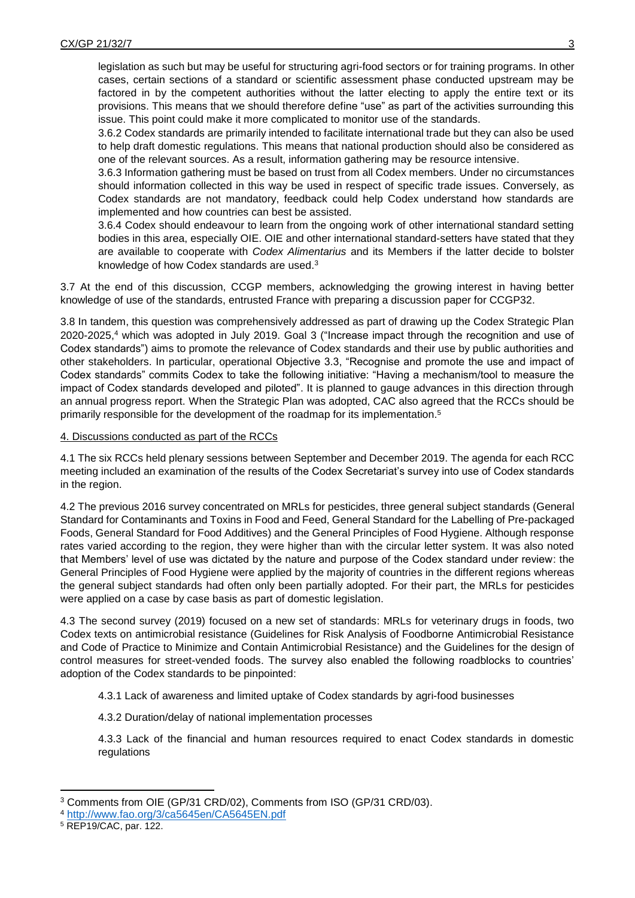legislation as such but may be useful for structuring agri-food sectors or for training programs. In other cases, certain sections of a standard or scientific assessment phase conducted upstream may be factored in by the competent authorities without the latter electing to apply the entire text or its provisions. This means that we should therefore define "use" as part of the activities surrounding this issue. This point could make it more complicated to monitor use of the standards.

3.6.2 Codex standards are primarily intended to facilitate international trade but they can also be used to help draft domestic regulations. This means that national production should also be considered as one of the relevant sources. As a result, information gathering may be resource intensive.

3.6.3 Information gathering must be based on trust from all Codex members. Under no circumstances should information collected in this way be used in respect of specific trade issues. Conversely, as Codex standards are not mandatory, feedback could help Codex understand how standards are implemented and how countries can best be assisted.

3.6.4 Codex should endeavour to learn from the ongoing work of other international standard setting bodies in this area, especially OIE. OIE and other international standard-setters have stated that they are available to cooperate with *Codex Alimentarius* and its Members if the latter decide to bolster knowledge of how Codex standards are used.<sup>3</sup>

3.7 At the end of this discussion, CCGP members, acknowledging the growing interest in having better knowledge of use of the standards, entrusted France with preparing a discussion paper for CCGP32.

3.8 In tandem, this question was comprehensively addressed as part of drawing up the Codex Strategic Plan 2020-2025, <sup>4</sup> which was adopted in July 2019. Goal 3 ("Increase impact through the recognition and use of Codex standards") aims to promote the relevance of Codex standards and their use by public authorities and other stakeholders. In particular, operational Objective 3.3, "Recognise and promote the use and impact of Codex standards" commits Codex to take the following initiative: "Having a mechanism/tool to measure the impact of Codex standards developed and piloted". It is planned to gauge advances in this direction through an annual progress report. When the Strategic Plan was adopted, CAC also agreed that the RCCs should be primarily responsible for the development of the roadmap for its implementation. 5

### 4. Discussions conducted as part of the RCCs

4.1 The six RCCs held plenary sessions between September and December 2019. The agenda for each RCC meeting included an examination of the results of the Codex Secretariat's survey into use of Codex standards in the region.

4.2 The previous 2016 survey concentrated on MRLs for pesticides, three general subject standards (General Standard for Contaminants and Toxins in Food and Feed, General Standard for the Labelling of Pre-packaged Foods, General Standard for Food Additives) and the General Principles of Food Hygiene. Although response rates varied according to the region, they were higher than with the circular letter system. It was also noted that Members' level of use was dictated by the nature and purpose of the Codex standard under review: the General Principles of Food Hygiene were applied by the majority of countries in the different regions whereas the general subject standards had often only been partially adopted. For their part, the MRLs for pesticides were applied on a case by case basis as part of domestic legislation.

4.3 The second survey (2019) focused on a new set of standards: MRLs for veterinary drugs in foods, two Codex texts on antimicrobial resistance (Guidelines for Risk Analysis of Foodborne Antimicrobial Resistance and Code of Practice to Minimize and Contain Antimicrobial Resistance) and the Guidelines for the design of control measures for street-vended foods. The survey also enabled the following roadblocks to countries' adoption of the Codex standards to be pinpointed:

4.3.1 Lack of awareness and limited uptake of Codex standards by agri-food businesses

4.3.2 Duration/delay of national implementation processes

4.3.3 Lack of the financial and human resources required to enact Codex standards in domestic regulations

1

<sup>3</sup> Comments from OIE (GP/31 CRD/02), Comments from ISO (GP/31 CRD/03).

<sup>4</sup> <http://www.fao.org/3/ca5645en/CA5645EN.pdf>

<sup>5</sup> REP19/CAC, par. 122.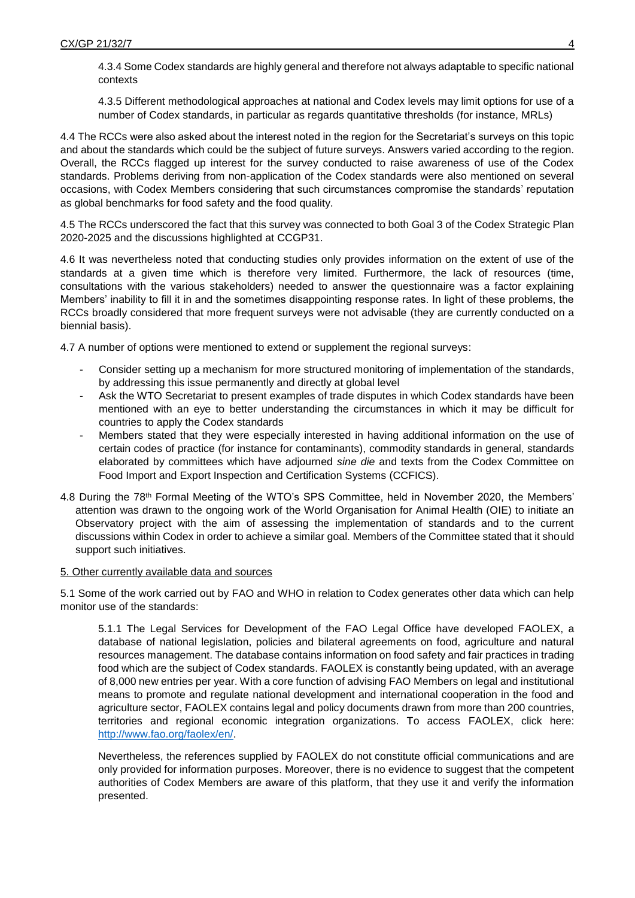4.3.4 Some Codex standards are highly general and therefore not always adaptable to specific national contexts

4.3.5 Different methodological approaches at national and Codex levels may limit options for use of a number of Codex standards, in particular as regards quantitative thresholds (for instance, MRLs)

4.4 The RCCs were also asked about the interest noted in the region for the Secretariat's surveys on this topic and about the standards which could be the subject of future surveys. Answers varied according to the region. Overall, the RCCs flagged up interest for the survey conducted to raise awareness of use of the Codex standards. Problems deriving from non-application of the Codex standards were also mentioned on several occasions, with Codex Members considering that such circumstances compromise the standards' reputation as global benchmarks for food safety and the food quality.

4.5 The RCCs underscored the fact that this survey was connected to both Goal 3 of the Codex Strategic Plan 2020-2025 and the discussions highlighted at CCGP31.

4.6 It was nevertheless noted that conducting studies only provides information on the extent of use of the standards at a given time which is therefore very limited. Furthermore, the lack of resources (time, consultations with the various stakeholders) needed to answer the questionnaire was a factor explaining Members' inability to fill it in and the sometimes disappointing response rates. In light of these problems, the RCCs broadly considered that more frequent surveys were not advisable (they are currently conducted on a biennial basis).

4.7 A number of options were mentioned to extend or supplement the regional surveys:

- Consider setting up a mechanism for more structured monitoring of implementation of the standards, by addressing this issue permanently and directly at global level
- Ask the WTO Secretariat to present examples of trade disputes in which Codex standards have been mentioned with an eye to better understanding the circumstances in which it may be difficult for countries to apply the Codex standards
- Members stated that they were especially interested in having additional information on the use of certain codes of practice (for instance for contaminants), commodity standards in general, standards elaborated by committees which have adjourned *sine die* and texts from the Codex Committee on Food Import and Export Inspection and Certification Systems (CCFICS).
- 4.8 During the 78th Formal Meeting of the WTO's SPS Committee, held in November 2020, the Members' attention was drawn to the ongoing work of the World Organisation for Animal Health (OIE) to initiate an Observatory project with the aim of assessing the implementation of standards and to the current discussions within Codex in order to achieve a similar goal. Members of the Committee stated that it should support such initiatives.

#### 5. Other currently available data and sources

5.1 Some of the work carried out by FAO and WHO in relation to Codex generates other data which can help monitor use of the standards:

5.1.1 The Legal Services for Development of the FAO Legal Office have developed FAOLEX, a database of national legislation, policies and bilateral agreements on food, agriculture and natural resources management. The database contains information on food safety and fair practices in trading food which are the subject of Codex standards. FAOLEX is constantly being updated, with an average of 8,000 new entries per year. With a core function of advising FAO Members on legal and institutional means to promote and regulate national development and international cooperation in the food and agriculture sector, FAOLEX contains legal and policy documents drawn from more than 200 countries, territories and regional economic integration organizations. To access FAOLEX, click here: [http://www.fao.org/faolex/en/.](http://www.fao.org/faolex/en/)

Nevertheless, the references supplied by FAOLEX do not constitute official communications and are only provided for information purposes. Moreover, there is no evidence to suggest that the competent authorities of Codex Members are aware of this platform, that they use it and verify the information presented.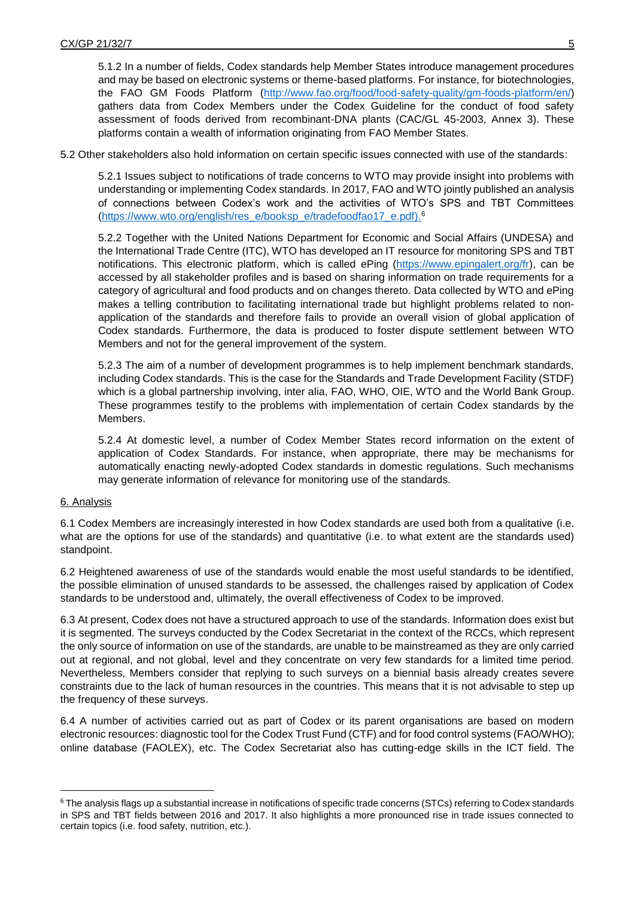5.1.2 In a number of fields, Codex standards help Member States introduce management procedures and may be based on electronic systems or theme-based platforms. For instance, for biotechnologies, the FAO GM Foods Platform [\(http://www.fao.org/food/food-safety-quality/gm-foods-platform/en/\)](http://www.fao.org/food/food-safety-quality/gm-foods-platform/en/) gathers data from Codex Members under the Codex Guideline for the conduct of food safety assessment of foods derived from recombinant-DNA plants (CAC/GL 45-2003, Annex 3). These platforms contain a wealth of information originating from FAO Member States.

5.2 Other stakeholders also hold information on certain specific issues connected with use of the standards:

5.2.1 Issues subject to notifications of trade concerns to WTO may provide insight into problems with understanding or implementing Codex standards. In 2017, FAO and WTO jointly published an analysis of connections between Codex's work and the activities of WTO's SPS and TBT Committees (https://www.wto.org/english/res\_e/booksp\_e/tradefoodfao17\_e.pdf).<sup>6</sup>

5.2.2 Together with the United Nations Department for Economic and Social Affairs (UNDESA) and the International Trade Centre (ITC), WTO has developed an IT resource for monitoring SPS and TBT notifications. This electronic platform, which is called ePing [\(https://www.epingalert.org/fr\)](https://www.epingalert.org/fr), can be accessed by all stakeholder profiles and is based on sharing information on trade requirements for a category of agricultural and food products and on changes thereto. Data collected by WTO and ePing makes a telling contribution to facilitating international trade but highlight problems related to nonapplication of the standards and therefore fails to provide an overall vision of global application of Codex standards. Furthermore, the data is produced to foster dispute settlement between WTO Members and not for the general improvement of the system.

5.2.3 The aim of a number of development programmes is to help implement benchmark standards, including Codex standards. This is the case for the Standards and Trade Development Facility (STDF) which is a global partnership involving, inter alia, FAO, WHO, OIE, WTO and the World Bank Group. These programmes testify to the problems with implementation of certain Codex standards by the Members.

5.2.4 At domestic level, a number of Codex Member States record information on the extent of application of Codex Standards. For instance, when appropriate, there may be mechanisms for automatically enacting newly-adopted Codex standards in domestic regulations. Such mechanisms may generate information of relevance for monitoring use of the standards.

#### 6. Analysis

**.** 

6.1 Codex Members are increasingly interested in how Codex standards are used both from a qualitative (i.e. what are the options for use of the standards) and quantitative (i.e. to what extent are the standards used) standpoint.

6.2 Heightened awareness of use of the standards would enable the most useful standards to be identified, the possible elimination of unused standards to be assessed, the challenges raised by application of Codex standards to be understood and, ultimately, the overall effectiveness of Codex to be improved.

6.3 At present, Codex does not have a structured approach to use of the standards. Information does exist but it is segmented. The surveys conducted by the Codex Secretariat in the context of the RCCs, which represent the only source of information on use of the standards, are unable to be mainstreamed as they are only carried out at regional, and not global, level and they concentrate on very few standards for a limited time period. Nevertheless, Members consider that replying to such surveys on a biennial basis already creates severe constraints due to the lack of human resources in the countries. This means that it is not advisable to step up the frequency of these surveys.

6.4 A number of activities carried out as part of Codex or its parent organisations are based on modern electronic resources: diagnostic tool for the Codex Trust Fund (CTF) and for food control systems (FAO/WHO); online database (FAOLEX), etc. The Codex Secretariat also has cutting-edge skills in the ICT field. The

<sup>6</sup> The analysis flags up a substantial increase in notifications of specific trade concerns (STCs) referring to Codex standards in SPS and TBT fields between 2016 and 2017. It also highlights a more pronounced rise in trade issues connected to certain topics (i.e. food safety, nutrition, etc.).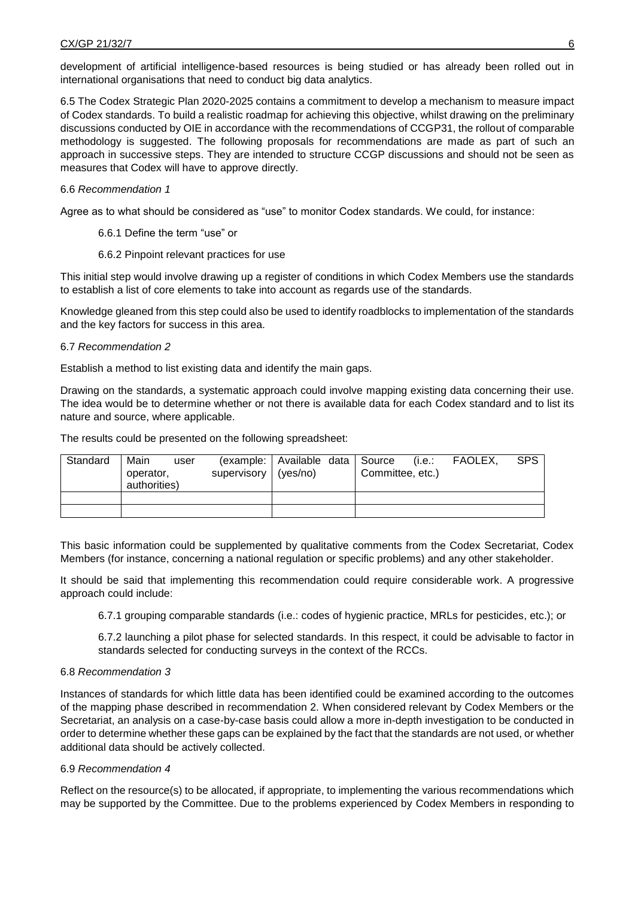development of artificial intelligence-based resources is being studied or has already been rolled out in international organisations that need to conduct big data analytics.

6.5 The Codex Strategic Plan 2020-2025 contains a commitment to develop a mechanism to measure impact of Codex standards. To build a realistic roadmap for achieving this objective, whilst drawing on the preliminary discussions conducted by OIE in accordance with the recommendations of CCGP31, the rollout of comparable methodology is suggested. The following proposals for recommendations are made as part of such an approach in successive steps. They are intended to structure CCGP discussions and should not be seen as measures that Codex will have to approve directly.

### 6.6 *Recommendation 1*

Agree as to what should be considered as "use" to monitor Codex standards. We could, for instance:

- 6.6.1 Define the term "use" or
- 6.6.2 Pinpoint relevant practices for use

This initial step would involve drawing up a register of conditions in which Codex Members use the standards to establish a list of core elements to take into account as regards use of the standards.

Knowledge gleaned from this step could also be used to identify roadblocks to implementation of the standards and the key factors for success in this area.

### 6.7 *Recommendation 2*

Establish a method to list existing data and identify the main gaps.

Drawing on the standards, a systematic approach could involve mapping existing data concerning their use. The idea would be to determine whether or not there is available data for each Codex standard and to list its nature and source, where applicable.

The results could be presented on the following spreadsheet:

| Standard | Main<br>user<br>operator,<br>authorities) | supervisory (yes/no) | (example:   Available data   Source | (i.e.:<br>Committee, etc.) | FAOLEX. | <b>SPS</b> |
|----------|-------------------------------------------|----------------------|-------------------------------------|----------------------------|---------|------------|
|          |                                           |                      |                                     |                            |         |            |
|          |                                           |                      |                                     |                            |         |            |

This basic information could be supplemented by qualitative comments from the Codex Secretariat, Codex Members (for instance, concerning a national regulation or specific problems) and any other stakeholder.

It should be said that implementing this recommendation could require considerable work. A progressive approach could include:

6.7.1 grouping comparable standards (i.e.: codes of hygienic practice, MRLs for pesticides, etc.); or

6.7.2 launching a pilot phase for selected standards. In this respect, it could be advisable to factor in standards selected for conducting surveys in the context of the RCCs.

### 6.8 *Recommendation 3*

Instances of standards for which little data has been identified could be examined according to the outcomes of the mapping phase described in recommendation 2. When considered relevant by Codex Members or the Secretariat, an analysis on a case-by-case basis could allow a more in-depth investigation to be conducted in order to determine whether these gaps can be explained by the fact that the standards are not used, or whether additional data should be actively collected.

## 6.9 *Recommendation 4*

Reflect on the resource(s) to be allocated, if appropriate, to implementing the various recommendations which may be supported by the Committee. Due to the problems experienced by Codex Members in responding to